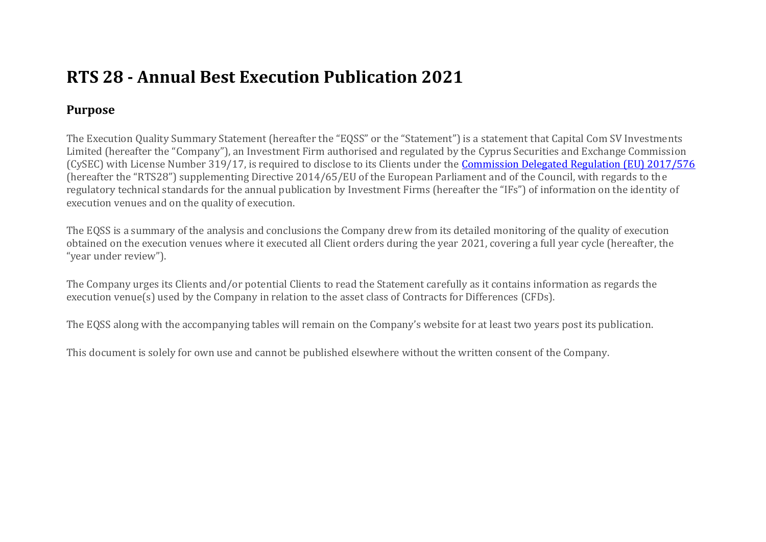# **RTS 28 - Annual Best Execution Publication 2021**

## **Purpose**

The Execution Quality Summary Statement (hereafter the "EQSS" or the "Statement") is a statement that Capital Com SV Investments Limited (hereafter the "Company"), an Investment Firm authorised and regulated by the Cyprus Securities and Exchange Commission (CySEC) with License Number 319/17, is required to disclose to its Clients under the Commission Delegated Regulation (EU) 2017/576 (hereafter the "RTS28") supplementing Directive 2014/65/EU of the European Parliament and of the Council, with regards to the regulatory technical standards for the annual publication by Investment Firms (hereafter the "IFs") of information on the identity of execution venues and on the quality of execution.

The EQSS is a summary of the analysis and conclusions the Company drew from its detailed monitoring of the quality of execution obtained on the execution venues where it executed all Client orders during the year 2021, covering a full year cycle (hereafter, the "year under review").

The Company urges its Clients and/or potential Clients to read the Statement carefully as it contains information as regards the execution venue(s) used by the Company in relation to the asset class of Contracts for Differences (CFDs).

The EQSS along with the accompanying tables will remain on the Company's website for at least two years post its publication.

This document is solely for own use and cannot be published elsewhere without the written consent of the Company.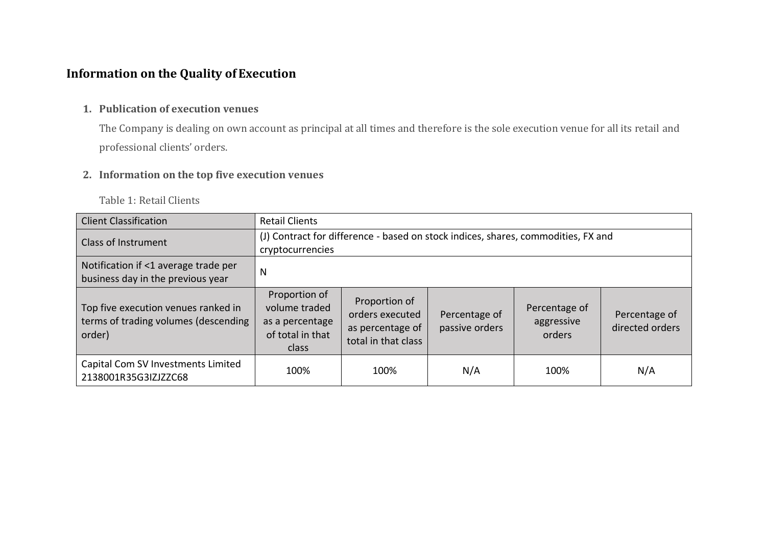## **Information on the Quality of Execution**

### **1. Publication of execution venues**

The Company is dealing on own account as principal at all times and therefore is the sole execution venue for all its retail and professional clients' orders.

### **2. Information on the top five execution venues**

Table 1: Retail Clients

| <b>Client Classification</b>                                                          | <b>Retail Clients</b>                                                                                 |                                                                             |                                 |                                       |                                  |
|---------------------------------------------------------------------------------------|-------------------------------------------------------------------------------------------------------|-----------------------------------------------------------------------------|---------------------------------|---------------------------------------|----------------------------------|
| <b>Class of Instrument</b>                                                            | (J) Contract for difference - based on stock indices, shares, commodities, FX and<br>cryptocurrencies |                                                                             |                                 |                                       |                                  |
| Notification if <1 average trade per<br>business day in the previous year             | N                                                                                                     |                                                                             |                                 |                                       |                                  |
| Top five execution venues ranked in<br>terms of trading volumes (descending<br>order) | Proportion of<br>volume traded<br>as a percentage<br>of total in that<br>class                        | Proportion of<br>orders executed<br>as percentage of<br>total in that class | Percentage of<br>passive orders | Percentage of<br>aggressive<br>orders | Percentage of<br>directed orders |
| Capital Com SV Investments Limited<br>2138001R35G3IZJZZC68                            | 100%                                                                                                  | 100%                                                                        | N/A                             | 100%                                  | N/A                              |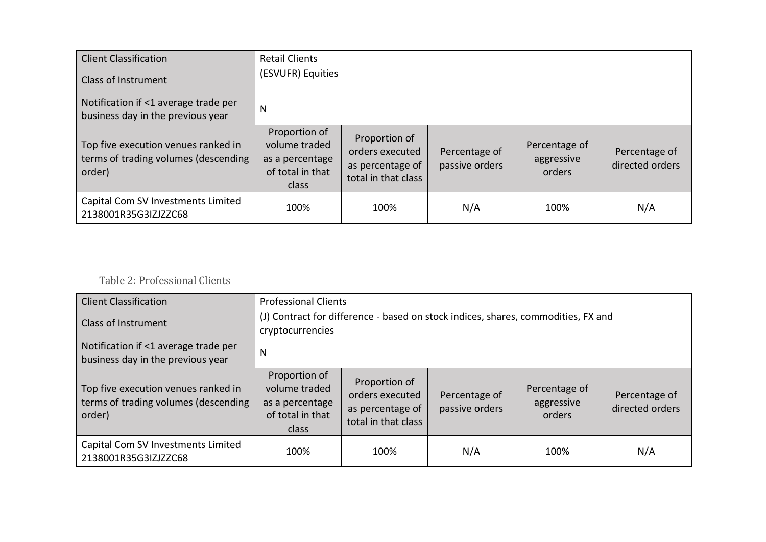| <b>Client Classification</b>                                                          | <b>Retail Clients</b>                                                          |                                                                             |                                 |                                       |                                  |
|---------------------------------------------------------------------------------------|--------------------------------------------------------------------------------|-----------------------------------------------------------------------------|---------------------------------|---------------------------------------|----------------------------------|
| <b>Class of Instrument</b>                                                            | (ESVUFR) Equities                                                              |                                                                             |                                 |                                       |                                  |
| Notification if <1 average trade per<br>business day in the previous year             | N                                                                              |                                                                             |                                 |                                       |                                  |
| Top five execution venues ranked in<br>terms of trading volumes (descending<br>order) | Proportion of<br>volume traded<br>as a percentage<br>of total in that<br>class | Proportion of<br>orders executed<br>as percentage of<br>total in that class | Percentage of<br>passive orders | Percentage of<br>aggressive<br>orders | Percentage of<br>directed orders |
| Capital Com SV Investments Limited<br>2138001R35G3IZJZZC68                            | 100%                                                                           | 100%                                                                        | N/A                             | 100%                                  | N/A                              |

## Table 2: Professional Clients

| <b>Client Classification</b>                                                          | <b>Professional Clients</b>                                                                           |                                                                             |                                 |                                       |                                  |
|---------------------------------------------------------------------------------------|-------------------------------------------------------------------------------------------------------|-----------------------------------------------------------------------------|---------------------------------|---------------------------------------|----------------------------------|
| <b>Class of Instrument</b>                                                            | (J) Contract for difference - based on stock indices, shares, commodities, FX and<br>cryptocurrencies |                                                                             |                                 |                                       |                                  |
| Notification if <1 average trade per<br>business day in the previous year             | N                                                                                                     |                                                                             |                                 |                                       |                                  |
| Top five execution venues ranked in<br>terms of trading volumes (descending<br>order) | Proportion of<br>volume traded<br>as a percentage<br>of total in that<br>class                        | Proportion of<br>orders executed<br>as percentage of<br>total in that class | Percentage of<br>passive orders | Percentage of<br>aggressive<br>orders | Percentage of<br>directed orders |
| Capital Com SV Investments Limited<br>2138001R35G3IZJZZC68                            | 100%                                                                                                  | 100%                                                                        | N/A                             | 100%                                  | N/A                              |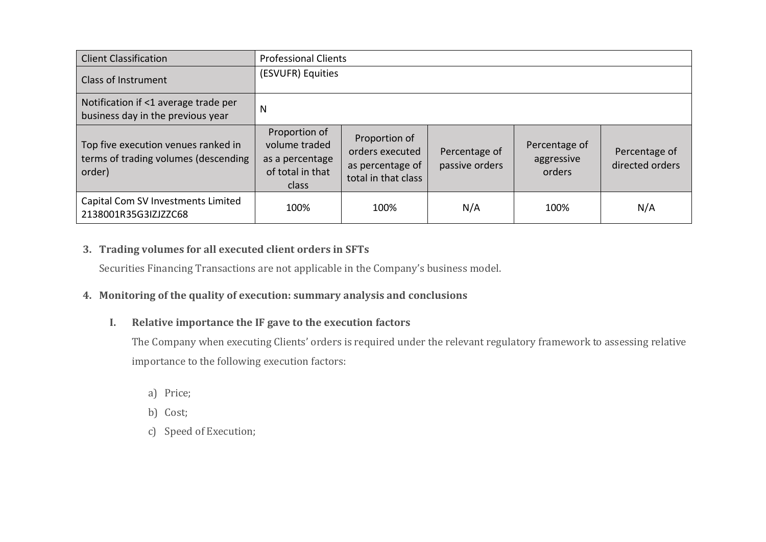| <b>Client Classification</b>                                                          | <b>Professional Clients</b>                                                    |                                                                             |                                 |                                       |                                  |
|---------------------------------------------------------------------------------------|--------------------------------------------------------------------------------|-----------------------------------------------------------------------------|---------------------------------|---------------------------------------|----------------------------------|
| <b>Class of Instrument</b>                                                            | (ESVUFR) Equities                                                              |                                                                             |                                 |                                       |                                  |
| Notification if <1 average trade per<br>business day in the previous year             | N                                                                              |                                                                             |                                 |                                       |                                  |
| Top five execution venues ranked in<br>terms of trading volumes (descending<br>order) | Proportion of<br>volume traded<br>as a percentage<br>of total in that<br>class | Proportion of<br>orders executed<br>as percentage of<br>total in that class | Percentage of<br>passive orders | Percentage of<br>aggressive<br>orders | Percentage of<br>directed orders |
| Capital Com SV Investments Limited<br>2138001R35G3IZJZZC68                            | 100%                                                                           | 100%                                                                        | N/A                             | 100%                                  | N/A                              |

## **3. Trading volumes for all executed client orders in SFTs**

Securities Financing Transactions are not applicable in the Company's business model.

## **4. Monitoring of the quality of execution: summary analysis and conclusions**

## **I. Relative importance the IF gave to the execution factors**

The Company when executing Clients' orders is required under the relevant regulatory framework to assessing relative importance to the following execution factors:

- a) Price;
- b) Cost;
- c) Speed of Execution;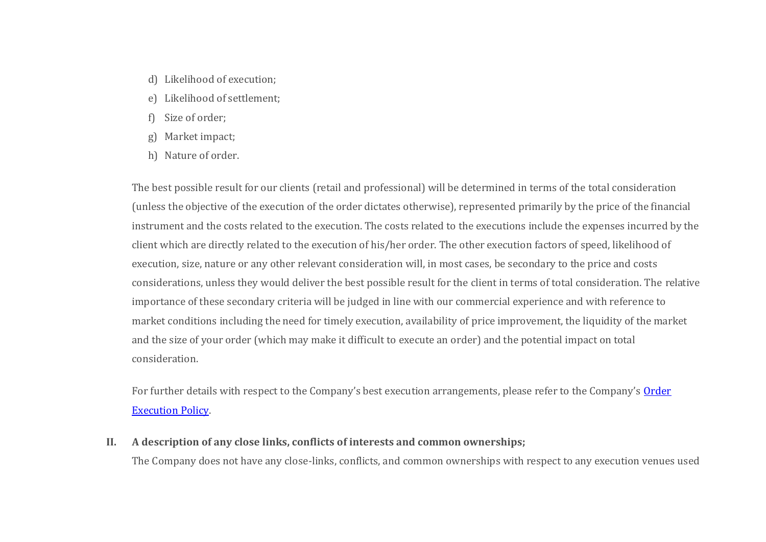- d) Likelihood of execution;
- e) Likelihood of settlement;
- f) Size of order;
- g) Market impact;
- h) Nature of order.

The best possible result for our clients (retail and professional) will be determined in terms of the total consideration (unless the objective of the execution of the order dictates otherwise), represented primarily by the price of the financial instrument and the costs related to the execution. The costs related to the executions include the expenses incurred by the client which are directly related to the execution of his/her order. The other execution factors of speed, likelihood of execution, size, nature or any other relevant consideration will, in most cases, be secondary to the price and costs considerations, unless they would deliver the best possible result for the client in terms of total consideration. The relative importance of these secondary criteria will be judged in line with our commercial experience and with reference to market conditions including the need for timely execution, availability of price improvement, the liquidity of the market and the size of your order (which may make it difficult to execute an order) and the potential impact on total consideration.

For further details with respect to the Company's best execution arrangements, please refer to the Company's Order Execution Policy.

**II. A description of any close links, conflicts of interests and common ownerships;**

The Company does not have any close-links, conflicts, and common ownerships with respect to any execution venues used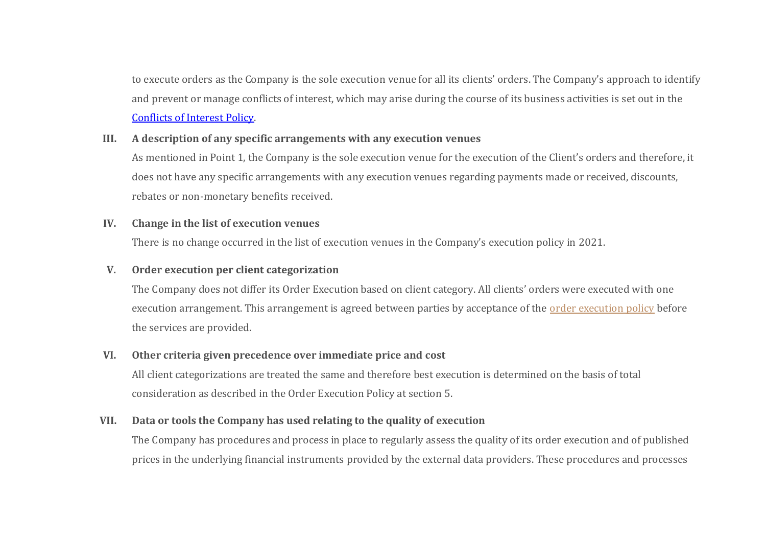to execute orders as the Company is the sole execution venue for all its clients' orders. The Company's approach to identify and prevent or manage conflicts of interest, which may arise during the course of its business activities is set out in the Conflicts of Interest Policy.

#### **III. A description of any specific arrangements with any execution venues**

As mentioned in Point 1, the Company is the sole execution venue for the execution of the Client's orders and therefore, it does not have any specific arrangements with any execution venues regarding payments made or received, discounts, rebates or non-monetary benefits received.

#### **IV. Change in the list of execution venues**

There is no change occurred in the list of execution venues in the Company's execution policy in 2021.

#### **V. Order execution per client categorization**

The Company does not differ its Order Execution based on client category. All clients' orders were executed with one execution arrangement. This arrangement is agreed between parties by acceptance of the order execution policy before the services are provided.

#### **VI. Other criteria given precedence over immediate price and cost**

All client categorizations are treated the same and therefore best execution is determined on the basis of total consideration as described in the Order Execution Policy at section 5.

#### **VII. Data or tools the Company has used relating to the quality of execution**

The Company has procedures and process in place to regularly assess the quality of its order execution and of published prices in the underlying financial instruments provided by the external data providers. These procedures and processes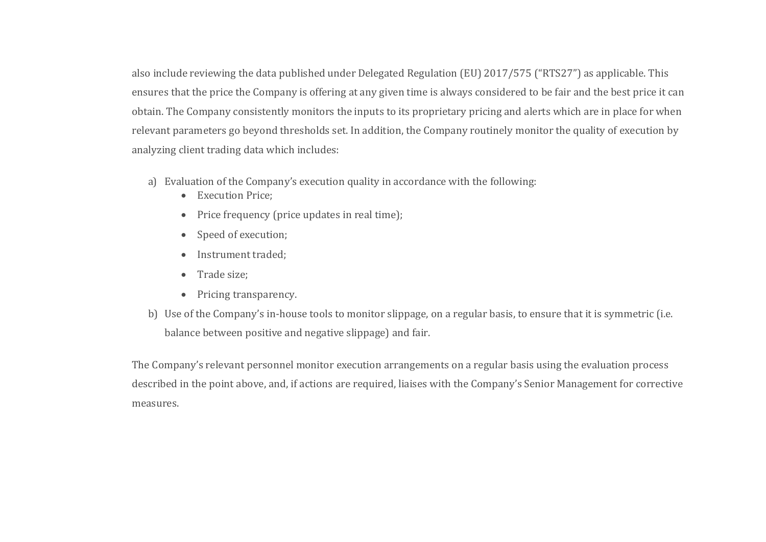also include reviewing the data published under Delegated Regulation (EU) 2017/575 ("RTS27") as applicable. This ensures that the price the Company is offering at any given time is always considered to be fair and the best price it can obtain. The Company consistently monitors the inputs to its proprietary pricing and alerts which are in place for when relevant parameters go beyond thresholds set. In addition, the Company routinely monitor the quality of execution by analyzing client trading data which includes:

- a) Evaluation of the Company's execution quality in accordance with the following:
	- Execution Price:
	- Price frequency (price updates in real time);
	- Speed of execution;
	- Instrument traded;
	- Trade size;
	- Pricing transparency.
- b) Use of the Company's in-house tools to monitor slippage, on a regular basis, to ensure that it is symmetric (i.e. balance between positive and negative slippage) and fair.

The Company's relevant personnel monitor execution arrangements on a regular basis using the evaluation process described in the point above, and, if actions are required, liaises with the Company's Senior Management for corrective measures.